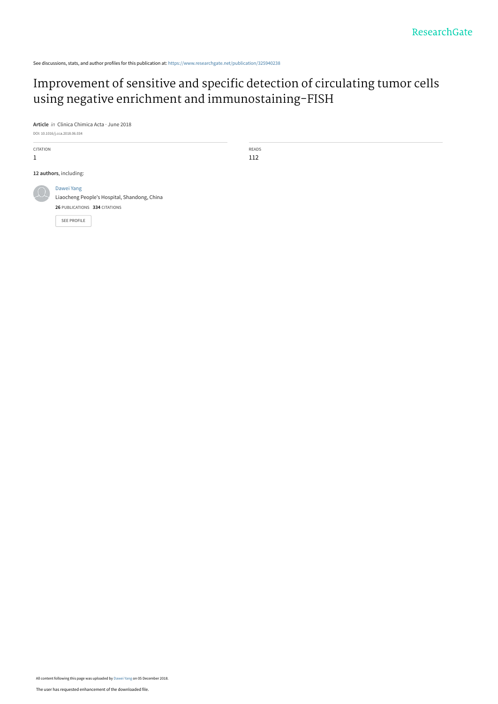See discussions, stats, and author profiles for this publication at: [https://www.researchgate.net/publication/325940238](https://www.researchgate.net/publication/325940238_Improvement_of_sensitive_and_specific_detection_of_circulating_tumor_cells_using_negative_enrichment_and_immunostaining-FISH?enrichId=rgreq-b5953c9971ad2e8aef5742017d67ca6f-XXX&enrichSource=Y292ZXJQYWdlOzMyNTk0MDIzODtBUzo3MDAzNzIyMDUxNzg4ODZAMTU0Mzk5MzE1NDg2OQ%3D%3D&el=1_x_2&_esc=publicationCoverPdf)

# [Improvement of sensitive and specific detection of circulating tumor cells](https://www.researchgate.net/publication/325940238_Improvement_of_sensitive_and_specific_detection_of_circulating_tumor_cells_using_negative_enrichment_and_immunostaining-FISH?enrichId=rgreq-b5953c9971ad2e8aef5742017d67ca6f-XXX&enrichSource=Y292ZXJQYWdlOzMyNTk0MDIzODtBUzo3MDAzNzIyMDUxNzg4ODZAMTU0Mzk5MzE1NDg2OQ%3D%3D&el=1_x_3&_esc=publicationCoverPdf) using negative enrichment and immunostaining-FISH

**Article** in Clinica Chimica Acta · June 2018

DOI: 10.1016/j.cca.2018.06.034 CITATION 1 READS 112 **12 authors**, including: [Dawei Yang](https://www.researchgate.net/profile/Dawei_Yang5?enrichId=rgreq-b5953c9971ad2e8aef5742017d67ca6f-XXX&enrichSource=Y292ZXJQYWdlOzMyNTk0MDIzODtBUzo3MDAzNzIyMDUxNzg4ODZAMTU0Mzk5MzE1NDg2OQ%3D%3D&el=1_x_5&_esc=publicationCoverPdf) Liaocheng People's Hospital, Shandong, China **26** PUBLICATIONS **334** CITATIONS [SEE PROFILE](https://www.researchgate.net/profile/Dawei_Yang5?enrichId=rgreq-b5953c9971ad2e8aef5742017d67ca6f-XXX&enrichSource=Y292ZXJQYWdlOzMyNTk0MDIzODtBUzo3MDAzNzIyMDUxNzg4ODZAMTU0Mzk5MzE1NDg2OQ%3D%3D&el=1_x_7&_esc=publicationCoverPdf)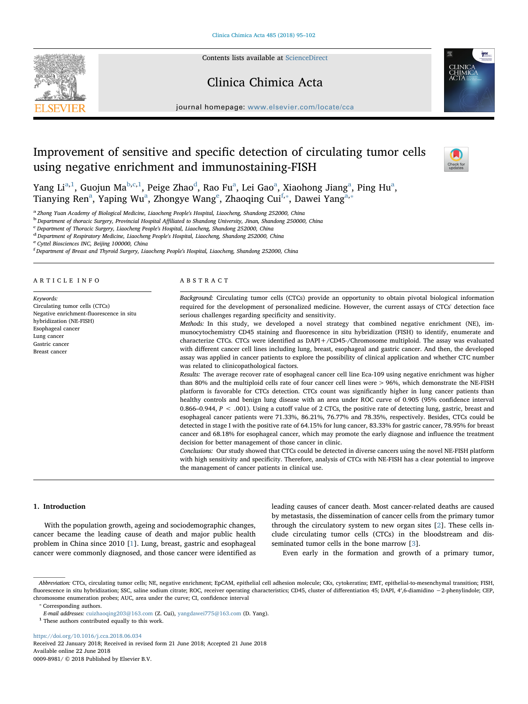Contents lists available at [ScienceDirect](http://www.sciencedirect.com/science/journal/00098981)

# Clinica Chimica Acta



journal homepage: [www.elsevier.com/locate/cca](https://www.elsevier.com/locate/cca)

# Improvement of sensitive and specific detection of circulating tumor cells using negative enrichment and immunostaining-FISH



Y[a](#page-1-0)ng Li<sup>a,[1](#page-1-1)</sup>, Guojun Ma<sup>[b](#page-1-2),[c](#page-1-3)[,1](#page-1-1)</sup>, Peige Zhao<sup>[d](#page-1-4)</sup>, Rao Fu<sup>a</sup>, Lei Gao<sup>a</sup>, Xiaohong Jiang<sup>a</sup>, Ping Hu<sup>a</sup>, Ti[a](#page-1-0)nying R[e](#page-1-5)n<sup>a</sup>, Yaping Wu<sup>a</sup>, Zhongye Wang<sup>e</sup>, Zhaoqing Cui<sup>[f,](#page-1-6)\*</sup>, Dawei Yang<sup>[a,](#page-1-0)\*</sup>

<span id="page-1-0"></span><sup>a</sup> Zhong Yuan Academy of Biological Medicine, Liaocheng People's Hospital, Liaocheng, Shandong 252000, China

<span id="page-1-2"></span><sup>b</sup> Department of thoracic Surgery, Provincial Hospital Affiliated to Shandong University, Jinan, Shandong 250000, China

<span id="page-1-3"></span>Department of Thoracic Surgery, Liaocheng People's Hospital, Liaocheng, Shandong 252000, China

<span id="page-1-4"></span><sup>d</sup> Department of Respiratory Medicine, Liaocheng People's Hospital, Liaocheng, Shandong 252000, China

<span id="page-1-5"></span><sup>e</sup> Cyttel Biosciences INC, Beijing 100000, China

<span id="page-1-6"></span><sup>f</sup> Department of Breast and Thyroid Surgery, Liaocheng People's Hospital, Liaocheng, Shandong 252000, China

#### ARTICLE INFO

Keywords: Circulating tumor cells (CTCs) Negative enrichment-fluorescence in situ hybridization (NE-FISH) Esophageal cancer Lung cancer Gastric cancer Breast cancer

#### ABSTRACT

Background: Circulating tumor cells (CTCs) provide an opportunity to obtain pivotal biological information required for the development of personalized medicine. However, the current assays of CTCs' detection face serious challenges regarding specificity and sensitivity.

Methods: In this study, we developed a novel strategy that combined negative enrichment (NE), immunocytochemistry CD45 staining and fluorescence in situ hybridization (FISH) to identify, enumerate and characterize CTCs. CTCs were identified as DAPI+/CD45-/Chromosome multiploid. The assay was evaluated with different cancer cell lines including lung, breast, esophageal and gastric cancer. And then, the developed assay was applied in cancer patients to explore the possibility of clinical application and whether CTC number was related to clinicopathological factors.

Results: The average recover rate of esophageal cancer cell line Eca-109 using negative enrichment was higher than 80% and the multiploid cells rate of four cancer cell lines were > 96%, which demonstrate the NE-FISH platform is favorable for CTCs detection. CTCs count was significantly higher in lung cancer patients than healthy controls and benign lung disease with an area under ROC curve of 0.905 (95% confidence interval 0.866–0.944,  $P < .001$ ). Using a cutoff value of 2 CTCs, the positive rate of detecting lung, gastric, breast and esophageal cancer patients were 71.33%, 86.21%, 76.77% and 78.35%, respectively. Besides, CTCs could be detected in stage I with the positive rate of 64.15% for lung cancer, 83.33% for gastric cancer, 78.95% for breast cancer and 68.18% for esophageal cancer, which may promote the early diagnose and influence the treatment decision for better management of those cancer in clinic.

Conclusions: Our study showed that CTCs could be detected in diverse cancers using the novel NE-FISH platform with high sensitivity and specificity. Therefore, analysis of CTCs with NE-FISH has a clear potential to improve the management of cancer patients in clinical use.

# 1. Introduction

With the population growth, ageing and sociodemographic changes, cancer became the leading cause of death and major public health problem in China since 2010 [[1](#page-7-0)]. Lung, breast, gastric and esophageal cancer were commonly diagnosed, and those cancer were identified as leading causes of cancer death. Most cancer-related deaths are caused by metastasis, the dissemination of cancer cells from the primary tumor through the circulatory system to new organ sites [\[2\]](#page-7-1). These cells include circulating tumor cells (CTCs) in the bloodstream and disseminated tumor cells in the bone marrow [\[3\]](#page-7-2).

Even early in the formation and growth of a primary tumor,

<span id="page-1-7"></span>⁎ Corresponding authors.

<https://doi.org/10.1016/j.cca.2018.06.034> Received 22 January 2018; Received in revised form 21 June 2018; Accepted 21 June 2018

Available online 22 June 2018 0009-8981/ © 2018 Published by Elsevier B.V.

Abbreviation: CTCs, circulating tumor cells; NE, negative enrichment; EpCAM, epithelial cell adhesion molecule; CKs, cytokeratins; EMT, epithelial-to-mesenchymal transition; FISH, fluorescence in situ hybridization; SSC, saline sodium citrate; ROC, receiver operating characteristics; CD45, cluster of differentiation 45; DAPI, 4′,6-diamidino −2-phenylindole; CEP, chromosome enumeration probes; AUC, area under the curve; CI, confidence interval

E-mail addresses: [cuizhaoqing203@163.com](mailto:cuizhaoqing203@163.com) (Z. Cui), [yangdawei775@163.com](mailto:yangdawei775@163.com) (D. Yang).

<span id="page-1-1"></span> $^{\rm 1}$  These authors contributed equally to this work.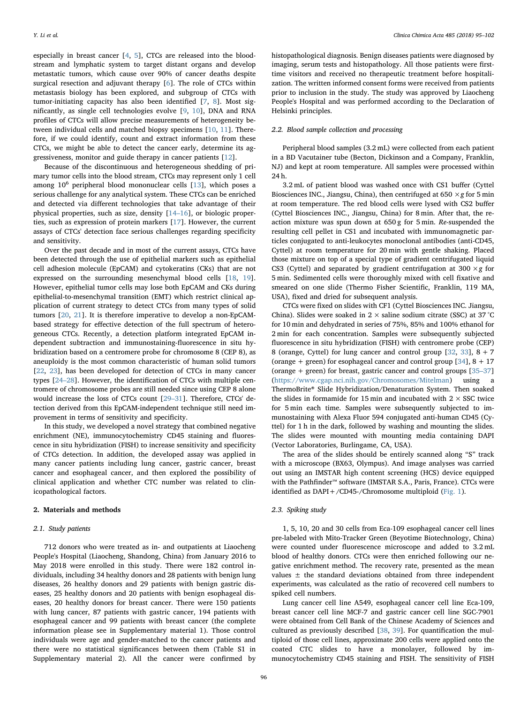especially in breast cancer [\[4,](#page-7-3) [5\]](#page-7-4), CTCs are released into the bloodstream and lymphatic system to target distant organs and develop metastatic tumors, which cause over 90% of cancer deaths despite surgical resection and adjuvant therapy [[6](#page-7-5)]. The role of CTCs within metastasis biology has been explored, and subgroup of CTCs with tumor-initiating capacity has also been identified [\[7,](#page-7-6) [8\]](#page-7-7). Most significantly, as single cell technologies evolve [\[9,](#page-7-8) [10\]](#page-7-9), DNA and RNA profiles of CTCs will allow precise measurements of heterogeneity between individual cells and matched biopsy specimens [[10,](#page-7-9) [11\]](#page-7-10). Therefore, if we could identify, count and extract information from these CTCs, we might be able to detect the cancer early, determine its aggressiveness, monitor and guide therapy in cancer patients [\[12](#page-7-11)].

Because of the discontinuous and heterogeneous shedding of primary tumor cells into the blood stream, CTCs may represent only 1 cell among  $10^6$  peripheral blood mononuclear cells  $[13]$  $[13]$ , which poses a serious challenge for any analytical system. These CTCs can be enriched and detected via different technologies that take advantage of their physical properties, such as size, density [\[14](#page-7-13)–16], or biologic properties, such as expression of protein markers [\[17](#page-7-14)]. However, the current assays of CTCs' detection face serious challenges regarding specificity and sensitivity.

Over the past decade and in most of the current assays, CTCs have been detected through the use of epithelial markers such as epithelial cell adhesion molecule (EpCAM) and cytokeratins (CKs) that are not expressed on the surrounding mesenchymal blood cells [[18,](#page-7-15) [19](#page-7-16)]. However, epithelial tumor cells may lose both EpCAM and CKs during epithelial-to-mesenchymal transition (EMT) which restrict clinical application of current strategy to detect CTCs from many types of solid tumors [[20,](#page-7-17) [21](#page-7-18)]. It is therefore imperative to develop a non-EpCAMbased strategy for effective detection of the full spectrum of heterogeneous CTCs. Recently, a detection platform integrated EpCAM independent subtraction and immunostaining-fluorescence in situ hybridization based on a centromere probe for chromosome 8 (CEP 8), as aneuploidy is the most common characteristic of human solid tumors [[22,](#page-7-19) [23\]](#page-7-20), has been developed for detection of CTCs in many cancer types [\[24](#page-7-21)–28]. However, the identification of CTCs with multiple centromere of chromosome probes are still needed since using CEP 8 alone would increase the loss of CTCs count [\[29](#page-7-22)–31]. Therefore, CTCs' detection derived from this EpCAM-independent technique still need improvement in terms of sensitivity and specificity.

In this study, we developed a novel strategy that combined negative enrichment (NE), immunocytochemistry CD45 staining and fluorescence in situ hybridization (FISH) to increase sensitivity and specificity of CTCs detection. In addition, the developed assay was applied in many cancer patients including lung cancer, gastric cancer, breast cancer and esophageal cancer, and then explored the possibility of clinical application and whether CTC number was related to clinicopathological factors.

### 2. Materials and methods

# 2.1. Study patients

712 donors who were treated as in- and outpatients at Liaocheng People's Hospital (Liaocheng, Shandong, China) from January 2016 to May 2018 were enrolled in this study. There were 182 control individuals, including 34 healthy donors and 28 patients with benign lung diseases, 26 healthy donors and 29 patients with benign gastric diseases, 25 healthy donors and 20 patients with benign esophageal diseases, 20 healthy donors for breast cancer. There were 150 patients with lung cancer, 87 patients with gastric cancer, 194 patients with esophageal cancer and 99 patients with breast cancer (the complete information please see in Supplementary material 1). Those control individuals were age and gender-matched to the cancer patients and there were no statistical significances between them (Table S1 in Supplementary material 2). All the cancer were confirmed by

histopathological diagnosis. Benign diseases patients were diagnosed by imaging, serum tests and histopathology. All those patients were firsttime visitors and received no therapeutic treatment before hospitalization. The written informed consent forms were received from patients prior to inclusion in the study. The study was approved by Liaocheng People's Hospital and was performed according to the Declaration of Helsinki principles.

# 2.2. Blood sample collection and processing

Peripheral blood samples (3.2 mL) were collected from each patient in a BD Vacutainer tube (Becton, Dickinson and a Company, Franklin, NJ) and kept at room temperature. All samples were processed within 24 h.

3.2 mL of patient blood was washed once with CS1 buffer (Cyttel Biosciences INC., Jiangsu, China), then centrifuged at  $650 \times g$  for 5 min at room temperature. The red blood cells were lysed with CS2 buffer (Cyttel Biosciences INC., Jiangsu, China) for 8 min. After that, the reaction mixture was spun down at 650 g for 5 min. Re-suspended the resulting cell pellet in CS1 and incubated with immunomagnetic particles conjugated to anti-leukocytes monoclonal antibodies (anti-CD45, Cyttel) at room temperature for 20 min with gentle shaking. Placed those mixture on top of a special type of gradient centrifugated liquid CS3 (Cyttel) and separated by gradient centrifugation at 300  $\times$  g for 5 min. Sedimented cells were thoroughly mixed with cell fixative and smeared on one slide (Thermo Fisher Scientific, Franklin, 119 MA, USA), fixed and dried for subsequent analysis.

CTCs were fixed on slides with CF1 (Cyttel Biosciences INC. Jiangsu, China). Slides were soaked in 2  $\times$  saline sodium citrate (SSC) at 37 °C for 10 min and dehydrated in series of 75%, 85% and 100% ethanol for 2 min for each concentration. Samples were subsequently subjected fluorescence in situ hybridization (FISH) with centromere probe (CEP) 8 (orange, Cyttel) for lung cancer and control group  $[32, 33]$  $[32, 33]$  $[32, 33]$ ,  $8 + 7$ (orange  $+$  green) for esophageal cancer and control group [\[34](#page-7-25)],  $8 + 17$ (orange + green) for breast, gastric cancer and control groups [\[35](#page-7-26)–37] (<https://www.cgap.nci.nih.gov/Chromosomes/Mitelman>) using a ThermoBrite® Slide Hybridization/Denaturation System. Then soaked the slides in formamide for 15 min and incubated with  $2 \times$  SSC twice for 5 min each time. Samples were subsequently subjected to immunostaining with Alexa Fluor 594 conjugated anti-human CD45 (Cyttel) for 1 h in the dark, followed by washing and mounting the slides. The slides were mounted with mounting media containing DAPI (Vector Laboratories, Burlingame, CA, USA).

The area of the slides should be entirely scanned along "S" track with a microscope (BX63, Olympus). And image analyses was carried out using an IMSTAR high content screening (HCS) device equipped with the Pathfinder™ software (IMSTAR S.A., Paris, France). CTCs were identified as DAPI+/CD45-/Chromosome multiploid ([Fig. 1\)](#page-3-0).

### 2.3. Spiking study

1, 5, 10, 20 and 30 cells from Eca-109 esophageal cancer cell lines pre-labeled with Mito-Tracker Green (Beyotime Biotechnology, China) were counted under fluorescence microscope and added to 3.2 mL blood of healthy donors. CTCs were then enriched following our negative enrichment method. The recovery rate, presented as the mean values ± the standard deviations obtained from three independent experiments, was calculated as the ratio of recovered cell numbers to spiked cell numbers.

Lung cancer cell line A549, esophageal cancer cell line Eca-109, breast cancer cell line MCF-7 and gastric cancer cell line SGC-7901 were obtained from Cell Bank of the Chinese Academy of Sciences and cultured as previously described [[38,](#page-7-27) [39\]](#page-8-0). For quantification the multiploid of those cell lines, approximate 200 cells were applied onto the coated CTC slides to have a monolayer, followed by immunocytochemistry CD45 staining and FISH. The sensitivity of FISH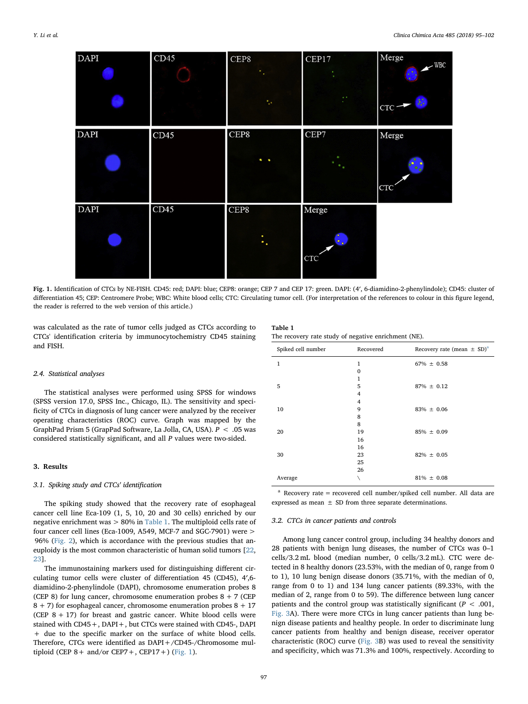<span id="page-3-0"></span>

Fig. 1. Identification of CTCs by NE-FISH. CD45: red; DAPI: blue; CEP8: orange; CEP 7 and CEP 17: green. DAPI: (4′, 6-diamidino-2-phenylindole); CD45: cluster of differentiation 45; CEP: Centromere Probe; WBC: White blood cells; CTC: Circulating tumor cell. (For interpretation of the references to colour in this figure legend, the reader is referred to the web version of this article.)

was calculated as the rate of tumor cells judged as CTCs according to CTCs' identification criteria by immunocytochemistry CD45 staining and FISH.

### 2.4. Statistical analyses

The statistical analyses were performed using SPSS for windows (SPSS version 17.0, SPSS Inc., Chicago, IL). The sensitivity and specificity of CTCs in diagnosis of lung cancer were analyzed by the receiver operating characteristics (ROC) curve. Graph was mapped by the GraphPad Prism 5 (GrapPad Software, La Jolla, CA, USA).  $P < .05$  was considered statistically significant, and all P values were two-sided.

#### 3. Results

#### 3.1. Spiking study and CTCs' identification

The spiking study showed that the recovery rate of esophageal cancer cell line Eca-109 (1, 5, 10, 20 and 30 cells) enriched by our negative enrichment was > 80% in [Table 1.](#page-3-1) The multiploid cells rate of four cancer cell lines (Eca-1009, A549, MCF-7 and SGC-7901) were > 96% [\(Fig. 2\)](#page-4-0), which is accordance with the previous studies that aneuploidy is the most common characteristic of human solid tumors [\[22](#page-7-19), [23\]](#page-7-20).

The immunostaining markers used for distinguishing different circulating tumor cells were cluster of differentiation 45 (CD45), 4′,6 diamidino-2-phenylindole (DAPI), chromosome enumeration probes 8 (CEP 8) for lung cancer, chromosome enumeration probes  $8 + 7$  (CEP  $8 + 7$ ) for esophageal cancer, chromosome enumeration probes  $8 + 17$ (CEP  $8 + 17$ ) for breast and gastric cancer. White blood cells were stained with CD45+, DAPI+, but CTCs were stained with CD45-, DAPI + due to the specific marker on the surface of white blood cells. Therefore, CTCs were identified as DAPI+/CD45-/Chromosome multiploid (CEP  $8+$  and/or CEP7 +, CEP17 +) ([Fig. 1](#page-3-0)).

### <span id="page-3-1"></span>Table 1 The recovery rate study of negative enrichment (NE).

| Spiked cell number | Recovered    | Recovery rate (mean $\pm$ SD) <sup>a</sup> |
|--------------------|--------------|--------------------------------------------|
| $\mathbf{1}$       | 1            | $67\% \pm 0.58$                            |
|                    | $\mathbf{0}$ |                                            |
|                    | 1            |                                            |
| 5                  | 5            | $87\% \pm 0.12$                            |
|                    | 4            |                                            |
|                    | 4            |                                            |
| 10                 | 9            | $83\% \pm 0.06$                            |
|                    | 8            |                                            |
|                    | 8            |                                            |
| 20                 | 19           | $85\% \pm 0.09$                            |
|                    | 16           |                                            |
|                    | 16           |                                            |
| 30                 | 23           | $82\% \pm 0.05$                            |
|                    | 25           |                                            |
|                    | 26           |                                            |
| Average            |              | $81\% \pm 0.08$                            |

<span id="page-3-2"></span> $a$  Recovery rate = recovered cell number/spiked cell number. All data are expressed as mean  $\pm$  SD from three separate determinations.

### 3.2. CTCs in cancer patients and controls

Among lung cancer control group, including 34 healthy donors and 28 patients with benign lung diseases, the number of CTCs was 0–1 cells/3.2 mL blood (median number, 0 cells/3.2 mL). CTC were detected in 8 healthy donors (23.53%, with the median of 0, range from 0 to 1), 10 lung benign disease donors (35.71%, with the median of 0, range from 0 to 1) and 134 lung cancer patients (89.33%, with the median of 2, range from 0 to 59). The difference between lung cancer patients and the control group was statistically significant ( $P < .001$ , [Fig. 3](#page-4-1)A). There were more CTCs in lung cancer patients than lung benign disease patients and healthy people. In order to discriminate lung cancer patients from healthy and benign disease, receiver operator characteristic (ROC) curve ([Fig. 3](#page-4-1)B) was used to reveal the sensitivity and specificity, which was 71.3% and 100%, respectively. According to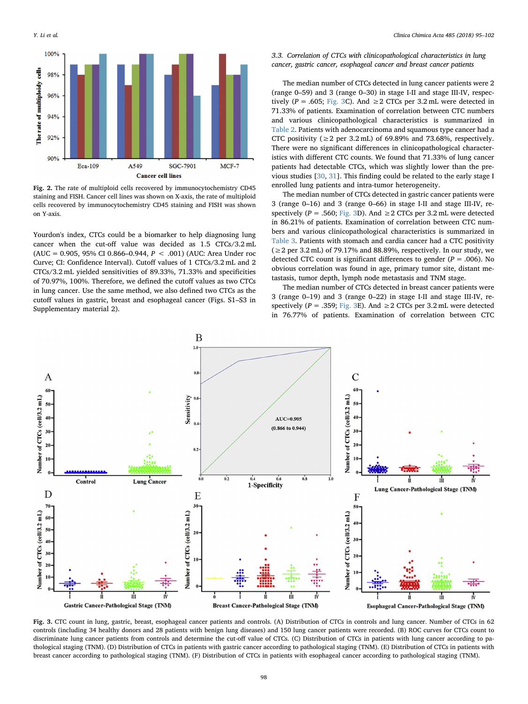<span id="page-4-0"></span>

Fig. 2. The rate of multiploid cells recovered by immunocytochemistry CD45 staining and FISH. Cancer cell lines was shown on X-axis, the rate of multiploid cells recovered by immunocytochemistry CD45 staining and FISH was shown on Y-axis.

Yourdon's index, CTCs could be a biomarker to help diagnosing lung cancer when the cut-off value was decided as 1.5 CTCs/3.2 mL (AUC = 0.905, 95% CI 0.866-0.944,  $P < .001$ ) (AUC: Area Under roc Curve; CI: Confidence Interval). Cutoff values of 1 CTCs/3.2 mL and 2 CTCs/3.2 mL yielded sensitivities of 89.33%, 71.33% and specificities of 70.97%, 100%. Therefore, we defined the cutoff values as two CTCs in lung cancer. Use the same method, we also defined two CTCs as the cutoff values in gastric, breast and esophageal cancer (Figs. S1–S3 in Supplementary material 2).

# 3.3. Correlation of CTCs with clinicopathological characteristics in lung cancer, gastric cancer, esophageal cancer and breast cancer patients

The median number of CTCs detected in lung cancer patients were 2 (range 0–59) and 3 (range 0–30) in stage I-II and stage III-IV, respectively ( $P = .605$ ; [Fig. 3C](#page-4-1)). And  $\geq 2$  CTCs per 3.2 mL were detected in 71.33% of patients. Examination of correlation between CTC numbers and various clinicopathological characteristics is summarized in [Table 2.](#page-5-0) Patients with adenocarcinoma and squamous type cancer had a CTC positivity ( $\geq 2$  per 3.2 mL) of 69.89% and 73.68%, respectively. There were no significant differences in clinicopathological characteristics with different CTC counts. We found that 71.33% of lung cancer patients had detectable CTCs, which was slightly lower than the previous studies [[30,](#page-7-28) [31](#page-7-29)]. This finding could be related to the early stage I enrolled lung patients and intra-tumor heterogeneity.

The median number of CTCs detected in gastric cancer patients were 3 (range 0–16) and 3 (range 0–66) in stage I-II and stage III-IV, respectively ( $P = .560$ ; [Fig. 3](#page-4-1)D). And  $\geq 2$  CTCs per 3.2 mL were detected in 86.21% of patients. Examination of correlation between CTC numbers and various clinicopathological characteristics is summarized in [Table 3](#page-5-1). Patients with stomach and cardia cancer had a CTC positivity  $(\geq 2 \text{ per } 3.2 \text{ mL})$  of 79.17% and 88.89%, respectively. In our study, we detected CTC count is significant differences to gender ( $P = .006$ ). No obvious correlation was found in age, primary tumor site, distant metastasis, tumor depth, lymph node metastasis and TNM stage.

The median number of CTCs detected in breast cancer patients were 3 (range 0–19) and 3 (range 0–22) in stage I-II and stage III-IV, respectively ( $P = .359$ ; [Fig. 3](#page-4-1)E). And  $\geq 2$  CTCs per 3.2 mL were detected in 76.77% of patients. Examination of correlation between CTC

<span id="page-4-1"></span>

Fig. 3. CTC count in lung, gastric, breast, esophageal cancer patients and controls. (A) Distribution of CTCs in controls and lung cancer. Number of CTCs in 62 controls (including 34 healthy donors and 28 patients with benign lung diseases) and 150 lung cancer patients were recorded. (B) ROC curves for CTCs count to discriminate lung cancer patients from controls and determine the cut-off value of CTCs. (C) Distribution of CTCs in patients with lung cancer according to pathological staging (TNM). (D) Distribution of CTCs in patients with gastric cancer according to pathological staging (TNM). (E) Distribution of CTCs in patients with breast cancer according to pathological staging (TNM). (F) Distribution of CTCs in patients with esophageal cancer according to pathological staging (TNM).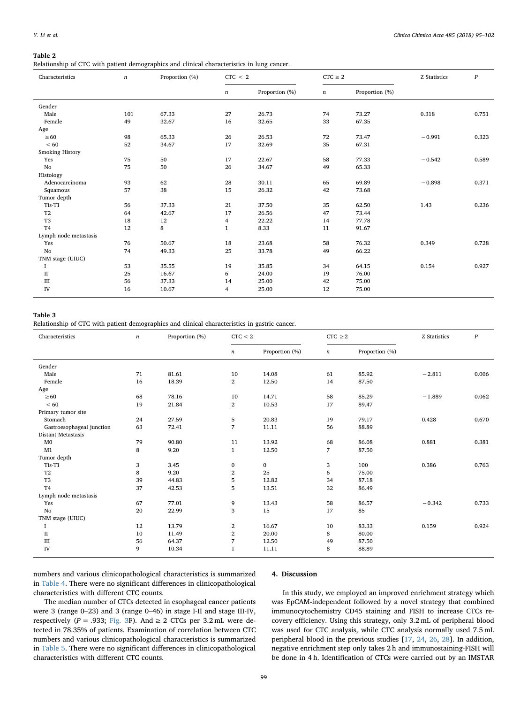#### <span id="page-5-0"></span>Table 2

Relationship of CTC with patient demographics and clinical characteristics in lung cancer.

| Characteristics       | $\boldsymbol{n}$ | Proportion (%) | CTC < 2          |                | $CTC \geq 2$     |                | Z Statistics | $\boldsymbol{P}$ |
|-----------------------|------------------|----------------|------------------|----------------|------------------|----------------|--------------|------------------|
|                       |                  |                | $\boldsymbol{n}$ | Proportion (%) | $\boldsymbol{n}$ | Proportion (%) |              |                  |
| Gender                |                  |                |                  |                |                  |                |              |                  |
| Male                  | 101              | 67.33          | 27               | 26.73          | 74               | 73.27          | 0.318        | 0.751            |
| Female                | 49               | 32.67          | 16               | 32.65          | 33               | 67.35          |              |                  |
| Age                   |                  |                |                  |                |                  |                |              |                  |
| $\geq 60$             | 98               | 65.33          | 26               | 26.53          | 72               | 73.47          | $-0.991$     | 0.323            |
| < 60                  | 52               | 34.67          | 17               | 32.69          | 35               | 67.31          |              |                  |
| Smoking History       |                  |                |                  |                |                  |                |              |                  |
| Yes                   | 75               | 50             | 17               | 22.67          | 58               | 77.33          | $-0.542$     | 0.589            |
| No                    | 75               | 50             | 26               | 34.67          | 49               | 65.33          |              |                  |
| Histology             |                  |                |                  |                |                  |                |              |                  |
| Adenocarcinoma        | 93               | 62             | 28               | 30.11          | 65               | 69.89          | $-0.898$     | 0.371            |
| Squamous              | 57               | 38             | 15               | 26.32          | 42               | 73.68          |              |                  |
| Tumor depth           |                  |                |                  |                |                  |                |              |                  |
| Tis-T1                | 56               | 37.33          | 21               | 37.50          | 35               | 62.50          | 1.43         | 0.236            |
| T <sub>2</sub>        | 64               | 42.67          | 17               | 26.56          | 47               | 73.44          |              |                  |
| T <sub>3</sub>        | 18               | 12             | 4                | 22.22          | 14               | 77.78          |              |                  |
| T <sub>4</sub>        | 12               | 8              | $\mathbf{1}$     | 8.33           | 11               | 91.67          |              |                  |
| Lymph node metastasis |                  |                |                  |                |                  |                |              |                  |
| Yes                   | 76               | 50.67          | 18               | 23.68          | 58               | 76.32          | 0.349        | 0.728            |
| No                    | 74               | 49.33          | 25               | 33.78          | 49               | 66.22          |              |                  |
| TNM stage (UIUC)      |                  |                |                  |                |                  |                |              |                  |
| 1                     | 53               | 35.55          | 19               | 35.85          | 34               | 64.15          | 0.154        | 0.927            |
| $\rm II$              | 25               | 16.67          | 6                | 24.00          | 19               | 76.00          |              |                  |
| Ш                     | 56               | 37.33          | 14               | 25.00          | 42               | 75.00          |              |                  |
| ${\rm IV}$            | 16               | 10.67          | 4                | 25.00          | 12               | 75.00          |              |                  |

#### <span id="page-5-1"></span>Table 3

Relationship of CTC with patient demographics and clinical characteristics in gastric cancer.

| Characteristics           | $\boldsymbol{n}$ | Proportion (%) | CTC < 2          |                | $CTC \geq 2$     |                | Z Statistics | $\boldsymbol{P}$ |
|---------------------------|------------------|----------------|------------------|----------------|------------------|----------------|--------------|------------------|
|                           |                  |                | $\boldsymbol{n}$ | Proportion (%) | $\boldsymbol{n}$ | Proportion (%) |              |                  |
| Gender                    |                  |                |                  |                |                  |                |              |                  |
| Male                      | 71               | 81.61          | 10               | 14.08          | 61               | 85.92          | $-2.811$     | 0.006            |
| Female                    | 16               | 18.39          | $\overline{2}$   | 12.50          | 14               | 87.50          |              |                  |
| Age                       |                  |                |                  |                |                  |                |              |                  |
| $\geq 60$                 | 68               | 78.16          | 10               | 14.71          | 58               | 85.29          | $-1.889$     | 0.062            |
| < 60                      | 19               | 21.84          | $\overline{2}$   | 10.53          | 17               | 89.47          |              |                  |
| Primary tumor site        |                  |                |                  |                |                  |                |              |                  |
| Stomach                   | 24               | 27.59          | 5                | 20.83          | 19               | 79.17          | 0.428        | 0.670            |
| Gastroesophageal junction | 63               | 72.41          | 7                | 11.11          | 56               | 88.89          |              |                  |
| Distant Metastasis        |                  |                |                  |                |                  |                |              |                  |
| $_{\rm M0}$               | 79               | 90.80          | 11               | 13.92          | 68               | 86.08          | 0.881        | 0.381            |
| M1                        | 8                | 9.20           | $\mathbf{1}$     | 12.50          | 7                | 87.50          |              |                  |
| Tumor depth               |                  |                |                  |                |                  |                |              |                  |
| Tis-T1                    | 3                | 3.45           | $\bf{0}$         | $\mathbf{0}$   | 3                | 100            | 0.386        | 0.763            |
| T <sub>2</sub>            | 8                | 9.20           | $\,2$            | 25             | 6                | 75.00          |              |                  |
| T <sub>3</sub>            | 39               | 44.83          | 5                | 12.82          | 34               | 87.18          |              |                  |
| T <sub>4</sub>            | 37               | 42.53          | 5                | 13.51          | 32               | 86.49          |              |                  |
| Lymph node metastasis     |                  |                |                  |                |                  |                |              |                  |
| Yes                       | 67               | 77.01          | 9                | 13.43          | 58               | 86.57          | $-0.342$     | 0.733            |
| No                        | 20               | 22.99          | 3                | 15             | 17               | 85             |              |                  |
| TNM stage (UIUC)          |                  |                |                  |                |                  |                |              |                  |
|                           | 12               | 13.79          | $\,2$            | 16.67          | 10               | 83.33          | 0.159        | 0.924            |
| $\rm II$                  | 10               | 11.49          | $\mathbf{2}$     | 20.00          | 8                | 80.00          |              |                  |
| $\rm III$                 | 56               | 64.37          | $\boldsymbol{7}$ | 12.50          | 49               | 87.50          |              |                  |
| IV                        | 9                | 10.34          | $\mathbf{1}$     | 11.11          | 8                | 88.89          |              |                  |

numbers and various clinicopathological characteristics is summarized in [Table 4.](#page-6-0) There were no significant differences in clinicopathological characteristics with different CTC counts.

# 4. Discussion

The median number of CTCs detected in esophageal cancer patients were 3 (range 0–23) and 3 (range 0–46) in stage I-II and stage III-IV, respectively ( $P = .933$ ; [Fig. 3](#page-4-1)F). And  $\geq 2$  CTCs per 3.2 mL were detected in 78.35% of patients. Examination of correlation between CTC numbers and various clinicopathological characteristics is summarized in [Table 5.](#page-6-1) There were no significant differences in clinicopathological characteristics with different CTC counts.

In this study, we employed an improved enrichment strategy which was EpCAM-independent followed by a novel strategy that combined immunocytochemistry CD45 staining and FISH to increase CTCs recovery efficiency. Using this strategy, only 3.2 mL of peripheral blood was used for CTC analysis, while CTC analysis normally used 7.5 mL peripheral blood in the previous studies [\[17](#page-7-14), [24](#page-7-21), [26](#page-7-30), [28](#page-7-31)]. In addition, negative enrichment step only takes 2 h and immunostaining-FISH will be done in 4 h. Identification of CTCs were carried out by an IMSTAR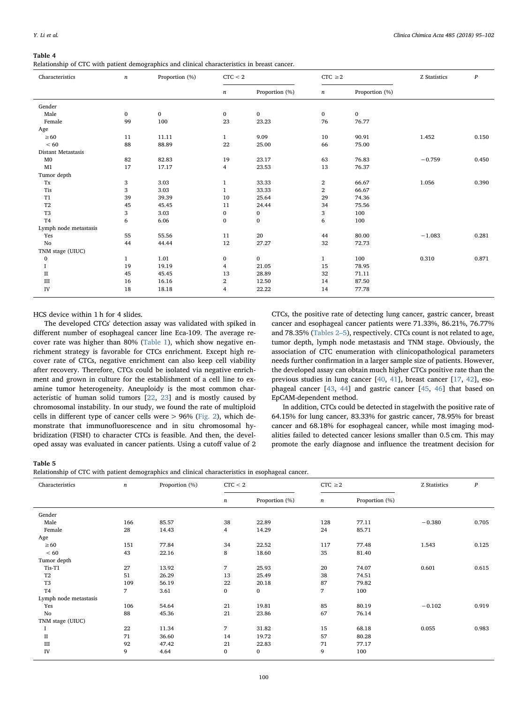#### <span id="page-6-0"></span>Table 4

Relationship of CTC with patient demographics and clinical characteristics in breast cancer.

| Characteristics       | $\boldsymbol{n}$ | Proportion (%) | CTC < 2      |                | $CTC \geq 2$     |                | Z Statistics | $\boldsymbol{P}$ |
|-----------------------|------------------|----------------|--------------|----------------|------------------|----------------|--------------|------------------|
|                       |                  |                | n            | Proportion (%) | $\boldsymbol{n}$ | Proportion (%) |              |                  |
| Gender                |                  |                |              |                |                  |                |              |                  |
| Male                  | $\bf{0}$         | $\mathbf 0$    | 0            | $\bf{0}$       | $\bf{0}$         | $\bf{0}$       |              |                  |
| Female                | 99               | 100            | 23           | 23.23          | 76               | 76.77          |              |                  |
| Age                   |                  |                |              |                |                  |                |              |                  |
| $\geq 60$             | 11               | 11.11          | $\mathbf{1}$ | 9.09           | 10               | 90.91          | 1.452        | 0.150            |
| < 60                  | 88               | 88.89          | 22           | 25.00          | 66               | 75.00          |              |                  |
| Distant Metastasis    |                  |                |              |                |                  |                |              |                  |
| $_{\rm M0}$           | 82               | 82.83          | 19           | 23.17          | 63               | 76.83          | $-0.759$     | 0.450            |
| M1                    | 17               | 17.17          | 4            | 23.53          | 13               | 76.37          |              |                  |
| Tumor depth           |                  |                |              |                |                  |                |              |                  |
| Tx                    | 3                | 3.03           | $\mathbf{1}$ | 33.33          | $\overline{2}$   | 66.67          | 1.056        | 0.390            |
| Tis                   | 3                | 3.03           | $\mathbf{1}$ | 33.33          | $\mathbf{2}$     | 66.67          |              |                  |
| T <sub>1</sub>        | 39               | 39.39          | 10           | 25.64          | 29               | 74.36          |              |                  |
| T <sub>2</sub>        | 45               | 45.45          | 11           | 24.44          | 34               | 75.56          |              |                  |
| T <sub>3</sub>        | 3                | 3.03           | 0            | 0              | 3                | 100            |              |                  |
| T <sub>4</sub>        | 6                | 6.06           | $\bf{0}$     | $\bf{0}$       | 6                | 100            |              |                  |
| Lymph node metastasis |                  |                |              |                |                  |                |              |                  |
| Yes                   | 55               | 55.56          | 11           | 20             | 44               | 80.00          | $-1.083$     | 0.281            |
| No                    | 44               | 44.44          | 12           | 27.27          | 32               | 72.73          |              |                  |
| TNM stage (UIUC)      |                  |                |              |                |                  |                |              |                  |
| 0                     | $\mathbf{1}$     | 1.01           | $\bf{0}$     | $\bf{0}$       | $\mathbf{1}$     | 100            | 0.310        | 0.871            |
| 1                     | 19               | 19.19          | 4            | 21.05          | 15               | 78.95          |              |                  |
| $\rm II$              | 45               | 45.45          | 13           | 28.89          | 32               | 71.11          |              |                  |
| $\rm III$             | 16               | 16.16          | 2            | 12.50          | 14               | 87.50          |              |                  |
| ${\rm IV}$            | 18               | 18.18          | 4            | 22.22          | 14               | 77.78          |              |                  |

HCS device within 1 h for 4 slides.

The developed CTCs' detection assay was validated with spiked in different number of esophageal cancer line Eca-109. The average recover rate was higher than 80% ([Table 1](#page-3-1)), which show negative enrichment strategy is favorable for CTCs enrichment. Except high recover rate of CTCs, negative enrichment can also keep cell viability after recovery. Therefore, CTCs could be isolated via negative enrichment and grown in culture for the establishment of a cell line to examine tumor heterogeneity. Aneuploidy is the most common characteristic of human solid tumors [\[22](#page-7-19), [23](#page-7-20)] and is mostly caused by chromosomal instability. In our study, we found the rate of multiploid cells in different type of cancer cells were > 96% ([Fig. 2\)](#page-4-0), which demonstrate that immunofluorescence and in situ chromosomal hybridization (FISH) to character CTCs is feasible. And then, the developed assay was evaluated in cancer patients. Using a cutoff value of 2 CTCs, the positive rate of detecting lung cancer, gastric cancer, breast cancer and esophageal cancer patients were 71.33%, 86.21%, 76.77% and 78.35% ([Tables 2](#page-5-0)–5), respectively. CTCs count is not related to age, tumor depth, lymph node metastasis and TNM stage. Obviously, the association of CTC enumeration with clinicopathological parameters needs further confirmation in a larger sample size of patients. However, the developed assay can obtain much higher CTCs positive rate than the previous studies in lung cancer [[40,](#page-8-1) [41\]](#page-8-2), breast cancer [[17,](#page-7-14) [42\]](#page-8-3), esophageal cancer [[43,](#page-8-4) [44\]](#page-8-5) and gastric cancer [\[45](#page-8-6), [46](#page-8-7)] that based on EpCAM-dependent method.

In addition, CTCs could be detected in stageIwith the positive rate of 64.15% for lung cancer, 83.33% for gastric cancer, 78.95% for breast cancer and 68.18% for esophageal cancer, while most imaging modalities failed to detected cancer lesions smaller than 0.5 cm. This may promote the early diagnose and influence the treatment decision for

<span id="page-6-1"></span>Table 5

| Relationship of CTC with patient demographics and clinical characteristics in esophageal cancer. |  |  |  |
|--------------------------------------------------------------------------------------------------|--|--|--|
|--------------------------------------------------------------------------------------------------|--|--|--|

| Characteristics       | n   | Proportion (%) | CTC < 2          |                | $CTC \geq 2$     |                | Z Statistics | $\boldsymbol{P}$ |
|-----------------------|-----|----------------|------------------|----------------|------------------|----------------|--------------|------------------|
|                       |     |                | $\boldsymbol{n}$ | Proportion (%) | $\boldsymbol{n}$ | Proportion (%) |              |                  |
| Gender                |     |                |                  |                |                  |                |              |                  |
| Male                  | 166 | 85.57          | 38               | 22.89          | 128              | 77.11          | $-0.380$     | 0.705            |
| Female                | 28  | 14.43          | $\overline{4}$   | 14.29          | 24               | 85.71          |              |                  |
| Age                   |     |                |                  |                |                  |                |              |                  |
| $\geq 60$             | 151 | 77.84          | 34               | 22.52          | 117              | 77.48          | 1.543        | 0.125            |
| < 60                  | 43  | 22.16          | 8                | 18.60          | 35               | 81.40          |              |                  |
| Tumor depth           |     |                |                  |                |                  |                |              |                  |
| Tis-T1                | 27  | 13.92          | $\overline{7}$   | 25.93          | 20               | 74.07          | 0.601        | 0.615            |
| T <sub>2</sub>        | 51  | 26.29          | 13               | 25.49          | 38               | 74.51          |              |                  |
| T <sub>3</sub>        | 109 | 56.19          | 22               | 20.18          | 87               | 79.82          |              |                  |
| T <sub>4</sub>        | 7   | 3.61           | $\bf{0}$         | $\bf{0}$       | 7                | 100            |              |                  |
| Lymph node metastasis |     |                |                  |                |                  |                |              |                  |
| Yes                   | 106 | 54.64          | 21               | 19.81          | 85               | 80.19          | $-0.102$     | 0.919            |
| No                    | 88  | 45.36          | 21               | 23.86          | 67               | 76.14          |              |                  |
| TNM stage (UIUC)      |     |                |                  |                |                  |                |              |                  |
|                       | 22  | 11.34          | 7                | 31.82          | 15               | 68.18          | 0.055        | 0.983            |
| $_{\rm II}$           | 71  | 36.60          | 14               | 19.72          | 57               | 80.28          |              |                  |
| Ш                     | 92  | 47.42          | 21               | 22.83          | 71               | 77.17          |              |                  |
| IV                    | 9   | 4.64           | $\mathbf{0}$     | 0              | 9                | 100            |              |                  |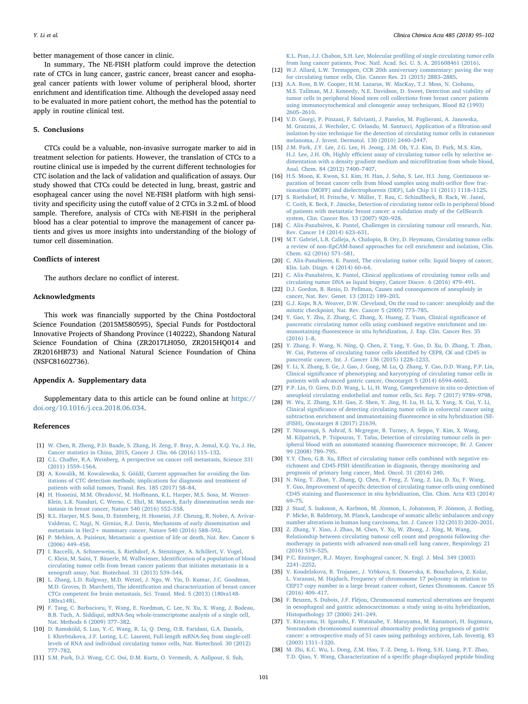better management of those cancer in clinic.

In summary, The NE-FISH platform could improve the detection rate of CTCs in lung cancer, gastric cancer, breast cancer and esophageal cancer patients with lower volume of peripheral blood, shorter enrichment and identification time. Although the developed assay need to be evaluated in more patient cohort, the method has the potential to apply in routine clinical test.

# 5. Conclusions

CTCs could be a valuable, non-invasive surrogate marker to aid in treatment selection for patients. However, the translation of CTCs to a routine clinical use is impeded by the current different technologies for CTC isolation and the lack of validation and qualification of assays. Our study showed that CTCs could be detected in lung, breast, gastric and esophageal cancer using the novel NE-FISH platform with high sensitivity and specificity using the cutoff value of 2 CTCs in 3.2 mL of blood sample. Therefore, analysis of CTCs with NE-FISH in the peripheral blood has a clear potential to improve the management of cancer patients and gives us more insights into understanding of the biology of tumor cell dissemination.

# Conflicts of interest

The authors declare no conflict of interest.

#### Acknowledgments

This work was financially supported by the China Postdoctoral Science Foundation (2015M580595), Special Funds for Postdoctoral Innovative Projects of Shandong Province (140222), Shandong Natural Science Foundation of China (ZR2017LH050, ZR2015HQ014 and ZR2016HB73) and National Natural Science Foundation of China (NSFC81602736).

# Appendix A. Supplementary data

Supplementary data to this article can be found online at [https://](https://doi.org/10.1016/j.cca.2018.06.034) [doi.org/10.1016/j.cca.2018.06.034.](https://doi.org/10.1016/j.cca.2018.06.034)

#### References

- <span id="page-7-0"></span>[1] [W. Chen, R. Zheng, P.D. Baade, S. Zhang, H. Zeng, F. Bray, A. Jemal, X.Q. Yu, J. He,](http://refhub.elsevier.com/S0009-8981(18)30320-6/rf0005) [Cancer statistics in China, 2015, Cancer J. Clin. 66 \(2016\) 115](http://refhub.elsevier.com/S0009-8981(18)30320-6/rf0005)–132.
- <span id="page-7-1"></span>[2] C.L. Chaff[er, R.A. Weinberg, A perspective on cancer cell metastasis, Science 331](http://refhub.elsevier.com/S0009-8981(18)30320-6/rf0010) [\(2011\) 1559](http://refhub.elsevier.com/S0009-8981(18)30320-6/rf0010)–1564.
- <span id="page-7-2"></span>[3] A. Kowalik, M. Kowalewska, S. Góźdź[, Current approaches for avoiding the lim](http://refhub.elsevier.com/S0009-8981(18)30320-6/rf0015)[itations of CTC detection methods; implications for diagnosis and treatment of](http://refhub.elsevier.com/S0009-8981(18)30320-6/rf0015) [patients with solid tumors, Transl. Res. 185 \(2017\) 58](http://refhub.elsevier.com/S0009-8981(18)30320-6/rf0015)–84.
- <span id="page-7-3"></span>[4] H. Hosseini, M.M. Obradović, M. Hoff[mann, K.L. Harper, M.S. Sosa, M. Werner-](http://refhub.elsevier.com/S0009-8981(18)30320-6/rf0020)[Klein, L.K. Nanduri, C. Werno, C. Ehrl, M. Maneck, Early dissemination seeds me](http://refhub.elsevier.com/S0009-8981(18)30320-6/rf0020)[tastasis in breast cancer, Nature 540 \(2016\) 552](http://refhub.elsevier.com/S0009-8981(18)30320-6/rf0020)–558.
- <span id="page-7-4"></span>[5] [K.L. Harper, M.S. Sosa, D. Entenberg, H. Hosseini, J.F. Cheung, R. Nobre, A. Avivar-](http://refhub.elsevier.com/S0009-8981(18)30320-6/rf0025)[Valderas, C. Nagi, N. Girnius, R.J. Davis, Mechanism of early dissemination and](http://refhub.elsevier.com/S0009-8981(18)30320-6/rf0025) [metastasis in Her2+ mammary cancer, Nature 540 \(2016\) 588](http://refhub.elsevier.com/S0009-8981(18)30320-6/rf0025)–592.
- <span id="page-7-5"></span>[6] [P. Mehlen, A. Puisieux, Metastasis: a question of life or death, Nat. Rev. Cancer 6](http://refhub.elsevier.com/S0009-8981(18)30320-6/rf0030) [\(2006\) 449](http://refhub.elsevier.com/S0009-8981(18)30320-6/rf0030)–458.
- <span id="page-7-6"></span>[7] [I. Baccelli, A. Schneeweiss, S. Riethdorf, A. Stenzinger, A. Schillert, V. Vogel,](http://refhub.elsevier.com/S0009-8981(18)30320-6/rf0035) [C. Klein, M. Saini, T. Bäuerle, M. Wallwiener, Identi](http://refhub.elsevier.com/S0009-8981(18)30320-6/rf0035)fication of a population of blood [circulating tumor cells from breast cancer patients that initiates metastasis in a](http://refhub.elsevier.com/S0009-8981(18)30320-6/rf0035) [xenograft assay, Nat. Biotechnol. 31 \(2013\) 539](http://refhub.elsevier.com/S0009-8981(18)30320-6/rf0035)–544.
- <span id="page-7-7"></span>[8] [L. Zhang, L.D. Ridgway, M.D. Wetzel, J. Ngo, W. Yin, D. Kumar, J.C. Goodman,](http://refhub.elsevier.com/S0009-8981(18)30320-6/rf0040) M.D. Groves, D. Marchetti, The identifi[cation and characterization of breast cancer](http://refhub.elsevier.com/S0009-8981(18)30320-6/rf0040) [CTCs competent for brain metastasis, Sci. Transl. Med. 5 \(2013\) \(180ra148-](http://refhub.elsevier.com/S0009-8981(18)30320-6/rf0040) [180ra148\).](http://refhub.elsevier.com/S0009-8981(18)30320-6/rf0040)
- <span id="page-7-8"></span>[9] [F. Tang, C. Barbacioru, Y. Wang, E. Nordman, C. Lee, N. Xu, X. Wang, J. Bodeau,](http://refhub.elsevier.com/S0009-8981(18)30320-6/rf0045) [B.B. Tuch, A. Siddiqui, mRNA-Seq whole-transcriptome analysis of a single cell,](http://refhub.elsevier.com/S0009-8981(18)30320-6/rf0045) [Nat. Methods 6 \(2009\) 377](http://refhub.elsevier.com/S0009-8981(18)30320-6/rf0045)–382.
- <span id="page-7-9"></span>[10] [D. Ramsköld, S. Luo, Y.-C. Wang, R. Li, Q. Deng, O.R. Faridani, G.A. Daniels,](http://refhub.elsevier.com/S0009-8981(18)30320-6/rf0050) [I. Khrebtukova, J.F. Loring, L.C. Laurent, Full-length mRNA-Seq from single-cell](http://refhub.elsevier.com/S0009-8981(18)30320-6/rf0050) [levels of RNA and individual circulating tumor cells, Nat. Biotechnol. 30 \(2012\)](http://refhub.elsevier.com/S0009-8981(18)30320-6/rf0050) 777–[782.](http://refhub.elsevier.com/S0009-8981(18)30320-6/rf0050)
- <span id="page-7-10"></span>[11] [S.M. Park, D.J. Wong, C.C. Ooi, D.M. Kurtz, O. Vermesh, A. Aalipour, S. Suh,](http://refhub.elsevier.com/S0009-8981(18)30320-6/rf0055)

[K.L. Pian, J.J. Chabon, S.H. Lee, Molecular pro](http://refhub.elsevier.com/S0009-8981(18)30320-6/rf0055)filing of single circulating tumor cells [from lung cancer patients, Proc. Natl. Acad. Sci. U. S. A. 201608461 \(2016\).](http://refhub.elsevier.com/S0009-8981(18)30320-6/rf0055)

- <span id="page-7-11"></span>[12] [W.J. Allard, L.W. Terstappen, CCR 20th anniversary commentary: paving the way](http://refhub.elsevier.com/S0009-8981(18)30320-6/rf0060) [for circulating tumor cells, Clin. Cancer Res. 21 \(2015\) 2883](http://refhub.elsevier.com/S0009-8981(18)30320-6/rf0060)–2885.
- <span id="page-7-12"></span>[13] [A.A. Ross, B.W. Cooper, H.M. Lazarus, W. MacKay, T.J. Moss, N. Ciobanu,](http://refhub.elsevier.com/S0009-8981(18)30320-6/rf0065) [M.S. Tallman, M.J. Kennedy, N.E. Davidson, D. Sweet, Detection and viability of](http://refhub.elsevier.com/S0009-8981(18)30320-6/rf0065) [tumor cells in peripheral blood stem cell collections from breast cancer patients](http://refhub.elsevier.com/S0009-8981(18)30320-6/rf0065) [using immunocytochemical and clonogenic assay techniques, Blood 82 \(1993\)](http://refhub.elsevier.com/S0009-8981(18)30320-6/rf0065) 2605–[2610.](http://refhub.elsevier.com/S0009-8981(18)30320-6/rf0065)
- <span id="page-7-13"></span>[14] V.D. [Giorgi, P. Pinzani, F. Salvianti, J. Panelos, M. Paglierani, A. Janowska,](http://refhub.elsevier.com/S0009-8981(18)30320-6/rf0070) [M. Grazzini, J. Wechsler, C. Orlando, M. Santucci, Application of a](http://refhub.elsevier.com/S0009-8981(18)30320-6/rf0070) filtration-and [isolation-by-size technique for the detection of circulating tumor cells in cutaneous](http://refhub.elsevier.com/S0009-8981(18)30320-6/rf0070) [melanoma, J. Invest. Dermatol. 130 \(2010\) 2440](http://refhub.elsevier.com/S0009-8981(18)30320-6/rf0070)–2447.
- [15] [J.M. Park, J.Y. Lee, J.G. Lee, H. Jeong, J.M. Oh, Y.J. Kim, D. Park, M.S. Kim,](http://refhub.elsevier.com/S0009-8981(18)30320-6/rf0075) H.J. Lee, J.H. Oh, Highly effi[cient assay of circulating tumor cells by selective se](http://refhub.elsevier.com/S0009-8981(18)30320-6/rf0075)[dimentation with a density gradient medium and micro](http://refhub.elsevier.com/S0009-8981(18)30320-6/rf0075)filtration from whole blood, [Anal. Chem. 84 \(2012\) 7400](http://refhub.elsevier.com/S0009-8981(18)30320-6/rf0075)–7407.
- [16] [H.S. Moon, K. Kwon, S.I. Kim, H. Han, J. Sohn, S. Lee, H.I. Jung, Continuous se](http://refhub.elsevier.com/S0009-8981(18)30320-6/rf0080)[paration of breast cancer cells from blood samples using multi-ori](http://refhub.elsevier.com/S0009-8981(18)30320-6/rf0080)fice flow frac[tionation \(MOFF\) and dielectrophoresis \(DEP\), Lab Chip 11 \(2011\) 1118](http://refhub.elsevier.com/S0009-8981(18)30320-6/rf0080)–1125.
- <span id="page-7-14"></span>[17] [S. Riethdorf, H. Fritsche, V. Müller, T. Rau, C. Schindlbeck, B. Rack, W. Janni,](http://refhub.elsevier.com/S0009-8981(18)30320-6/rf0085) [C. Coith, K. Beck, F. Jänicke, Detection of circulating tumor cells in peripheral blood](http://refhub.elsevier.com/S0009-8981(18)30320-6/rf0085) [of patients with metastatic breast cancer: a validation study of the CellSearch](http://refhub.elsevier.com/S0009-8981(18)30320-6/rf0085) [system, Clin. Cancer Res. 13 \(2007\) 920](http://refhub.elsevier.com/S0009-8981(18)30320-6/rf0085)–928.
- <span id="page-7-15"></span>[18] [C. Alix-Panabières, K. Pantel, Challenges in circulating tumour cell research, Nat.](http://refhub.elsevier.com/S0009-8981(18)30320-6/rf0090) [Rev. Cancer 14 \(2014\) 623](http://refhub.elsevier.com/S0009-8981(18)30320-6/rf0090)–631.
- <span id="page-7-16"></span>[19] [M.T. Gabriel, L.R. Calleja, A. Chalopin, B. Ory, D. Heymann, Circulating tumor cells:](http://refhub.elsevier.com/S0009-8981(18)30320-6/rf0095) a review of non–[EpCAM-based approaches for cell enrichment and isolation, Clin.](http://refhub.elsevier.com/S0009-8981(18)30320-6/rf0095) [Chem. 62 \(2016\) 571](http://refhub.elsevier.com/S0009-8981(18)30320-6/rf0095)–581.
- <span id="page-7-17"></span>[20] [C. Alix-Panabieres, K. Pantel, The circulating tumor cells: liquid biopsy of cancer,](http://refhub.elsevier.com/S0009-8981(18)30320-6/rf0100) [Klin. Lab. Diagn. 4 \(2014\) 60](http://refhub.elsevier.com/S0009-8981(18)30320-6/rf0100)–64.
- <span id="page-7-18"></span>[21] [C. Alix-Panabières, K. Pantel, Clinical applications of circulating tumor cells and](http://refhub.elsevier.com/S0009-8981(18)30320-6/rf0105) [circulating tumor DNA as liquid biopsy, Cancer Discov. 6 \(2016\) 479](http://refhub.elsevier.com/S0009-8981(18)30320-6/rf0105)–491.
- <span id="page-7-19"></span>[22] [D.J. Gordon, B. Resio, D. Pellman, Causes and consequences of aneuploidy in](http://refhub.elsevier.com/S0009-8981(18)30320-6/rf0110) [cancer, Nat. Rev. Genet. 13 \(2012\) 189](http://refhub.elsevier.com/S0009-8981(18)30320-6/rf0110)–203.
- <span id="page-7-20"></span>[23] [G.J. Kops, B.A. Weaver, D.W. Cleveland, On the road to cancer: aneuploidy and the](http://refhub.elsevier.com/S0009-8981(18)30320-6/rf0115) [mitotic checkpoint, Nat. Rev. Cancer 5 \(2005\) 773](http://refhub.elsevier.com/S0009-8981(18)30320-6/rf0115)–785.
- <span id="page-7-21"></span>[24] [Y. Gao, Y. Zhu, Z. Zhang, C. Zhang, X. Huang, Z. Yuan, Clinical signi](http://refhub.elsevier.com/S0009-8981(18)30320-6/rf0120)ficance of [pancreatic circulating tumor cells using combined negative enrichment and im](http://refhub.elsevier.com/S0009-8981(18)30320-6/rf0120)munostaining-fl[uorescence in situ hybridization, J. Exp. Clin. Cancer Res. 35](http://refhub.elsevier.com/S0009-8981(18)30320-6/rf0120) [\(2016\) 1](http://refhub.elsevier.com/S0009-8981(18)30320-6/rf0120)–8.
- [25] [Y. Zhang, F. Wang, N. Ning, Q. Chen, Z. Yang, Y. Guo, D. Xu, D. Zhang, T. Zhan,](http://refhub.elsevier.com/S0009-8981(18)30320-6/rf0125) [W. Cui, Patterns of circulating tumor cells identi](http://refhub.elsevier.com/S0009-8981(18)30320-6/rf0125)fied by CEP8, CK and CD45 in [pancreatic cancer, Int. J. Cancer 136 \(2015\) 1228](http://refhub.elsevier.com/S0009-8981(18)30320-6/rf0125)–1233.
- <span id="page-7-30"></span>[26] [Y. Li, X. Zhang, S. Ge, J. Gao, J. Gong, M. Lu, Q. Zhang, Y. Cao, D.D. Wang, P.P. Lin,](http://refhub.elsevier.com/S0009-8981(18)30320-6/rf0130) Clinical signifi[cance of phenotyping and karyotyping of circulating tumor cells in](http://refhub.elsevier.com/S0009-8981(18)30320-6/rf0130) [patients with advanced gastric cancer, Oncotarget 5 \(2014\) 6594](http://refhub.elsevier.com/S0009-8981(18)30320-6/rf0130)–6602.
- [27] [P.P. Lin, O. Gires, D.D. Wang, L. Li, H. Wang, Comprehensive in situ co-detection of](http://refhub.elsevier.com/S0009-8981(18)30320-6/rf0135) [aneuploid circulating endothelial and tumor cells, Sci. Rep. 7 \(2017\) 9789](http://refhub.elsevier.com/S0009-8981(18)30320-6/rf0135)–9798.
- <span id="page-7-31"></span>[28] [W. Wu, Z. Zhang, X.H. Gao, Z. Shen, Y. Jing, H. Lu, H. Li, X. Yang, X. Cui, Y. Li,](http://refhub.elsevier.com/S0009-8981(18)30320-6/rf0140) Clinical signifi[cance of detecting circulating tumor cells in colorectal cancer using](http://refhub.elsevier.com/S0009-8981(18)30320-6/rf0140) [subtraction enrichment and immunostaining-](http://refhub.elsevier.com/S0009-8981(18)30320-6/rf0140)fluorescence in situ hybridization (SE[iFISH\), Oncotarget 8 \(2017\) 21639.](http://refhub.elsevier.com/S0009-8981(18)30320-6/rf0140)
- <span id="page-7-22"></span>[29] [T. Ntouroupi, S. Ashraf, S. Mcgregor, B. Turney, A. Seppo, Y. Kim, X. Wang,](http://refhub.elsevier.com/S0009-8981(18)30320-6/rf0145) [M. Kilpatrick, P. Tsipouras, T. Tafas, Detection of circulating tumour cells in per](http://refhub.elsevier.com/S0009-8981(18)30320-6/rf0145)[ipheral blood with an automated scanning](http://refhub.elsevier.com/S0009-8981(18)30320-6/rf0145) fluorescence microscope, Br. J. Cancer [99 \(2008\) 789](http://refhub.elsevier.com/S0009-8981(18)30320-6/rf0145)–795.
- <span id="page-7-28"></span>[30] Y.Y. Chen, G.B. Xu, Eff[ect of circulating tumor cells combined with negative en](http://refhub.elsevier.com/S0009-8981(18)30320-6/rf0150)richment and CD45-FISH identifi[cation in diagnosis, therapy monitoring and](http://refhub.elsevier.com/S0009-8981(18)30320-6/rf0150) [prognosis of primary lung cancer, Med. Oncol. 31 \(2014\) 240.](http://refhub.elsevier.com/S0009-8981(18)30320-6/rf0150)
- <span id="page-7-29"></span>[31] [N. Ning, T. Zhan, Y. Zhang, Q. Chen, F. Feng, Z. Yang, Z. Liu, D. Xu, F. Wang,](http://refhub.elsevier.com/S0009-8981(18)30320-6/rf0155) Y. Guo, Improvement of specifi[c detection of circulating tumor cells using combined](http://refhub.elsevier.com/S0009-8981(18)30320-6/rf0155) CD45 staining and fl[uorescence in situ hybridization, Clin. Chim. Acta 433 \(2014\)](http://refhub.elsevier.com/S0009-8981(18)30320-6/rf0155) 69–[75.](http://refhub.elsevier.com/S0009-8981(18)30320-6/rf0155)
- <span id="page-7-23"></span>[32] [J. Staaf, S. Isaksson, A. Karlsson, M. Jönsson, L. Johansson, P. Jönsson, J. Botling,](http://refhub.elsevier.com/S0009-8981(18)30320-6/rf0160) [P. Micke, B. Baldetorp, M. Planck, Landscape of somatic allelic imbalances and copy](http://refhub.elsevier.com/S0009-8981(18)30320-6/rf0160) [number alterations in human lung carcinoma, Int. J. Cancer 132 \(2013\) 2020](http://refhub.elsevier.com/S0009-8981(18)30320-6/rf0160)–2031.
- <span id="page-7-24"></span>[33] [Z. Zhang, Y. Xiao, J. Zhao, M. Chen, Y. Xu, W. Zhong, J. Xing, M. Wang,](http://refhub.elsevier.com/S0009-8981(18)30320-6/rf0165) [Relationship between circulating tumour cell count and prognosis following che](http://refhub.elsevier.com/S0009-8981(18)30320-6/rf0165)[motherapy in patients with advanced non-small-cell lung cancer, Respirology 21](http://refhub.elsevier.com/S0009-8981(18)30320-6/rf0165) [\(2016\) 519](http://refhub.elsevier.com/S0009-8981(18)30320-6/rf0165)–525.
- <span id="page-7-25"></span>[34] [P.C. Enzinger, R.J. Mayer, Esophageal cancer, N. Engl. J. Med. 349 \(2003\)](http://refhub.elsevier.com/S0009-8981(18)30320-6/rf0170) 2241–[2252.](http://refhub.elsevier.com/S0009-8981(18)30320-6/rf0170)
- <span id="page-7-26"></span>[35] [V. Koudelakova, R. Trojanec, J. Vrbkova, S. Donevska, K. Bouchalova, Z. Kolar,](http://refhub.elsevier.com/S0009-8981(18)30320-6/rf0175) [L. Varanasi, M. Hajduch, Frequency of chromosome 17 polysomy in relation to](http://refhub.elsevier.com/S0009-8981(18)30320-6/rf0175) [CEP17 copy number in a large breast cancer cohort, Genes Chromosom. Cancer 55](http://refhub.elsevier.com/S0009-8981(18)30320-6/rf0175) [\(2016\) 409](http://refhub.elsevier.com/S0009-8981(18)30320-6/rf0175)–417.
- [36] [F. Beuzen, S. Dubois, J.F. Fléjou, Chromosomal numerical aberrations are frequent](http://refhub.elsevier.com/S0009-8981(18)30320-6/rf0180) [in oesophageal and gastric adenocarcinomas: a study using in-situ hybridization,](http://refhub.elsevier.com/S0009-8981(18)30320-6/rf0180) [Histopathology 37 \(2000\) 241](http://refhub.elsevier.com/S0009-8981(18)30320-6/rf0180)–249.
- [37] [Y. Kitayama, H. Igarashi, F. Watanabe, Y. Maruyama, M. Kanamori, H. Sugimura,](http://refhub.elsevier.com/S0009-8981(18)30320-6/rf0185) [Nonrandom chromosomal numerical abnormality predicting prognosis of gastric](http://refhub.elsevier.com/S0009-8981(18)30320-6/rf0185) [cancer: a retrospective study of 51 cases using pathology archives, Lab. Investig. 83](http://refhub.elsevier.com/S0009-8981(18)30320-6/rf0185) [\(2003\) 1311](http://refhub.elsevier.com/S0009-8981(18)30320-6/rf0185)–1320.
- <span id="page-7-27"></span>[38] [M. Zhi, K.C. Wu, L. Dong, Z.M. Hao, T.-Z. Deng, L. Hong, S.H. Liang, P.T. Zhao,](http://refhub.elsevier.com/S0009-8981(18)30320-6/rf0190) [T.D. Qiao, Y. Wang, Characterization of a speci](http://refhub.elsevier.com/S0009-8981(18)30320-6/rf0190)fic phage-displayed peptide binding